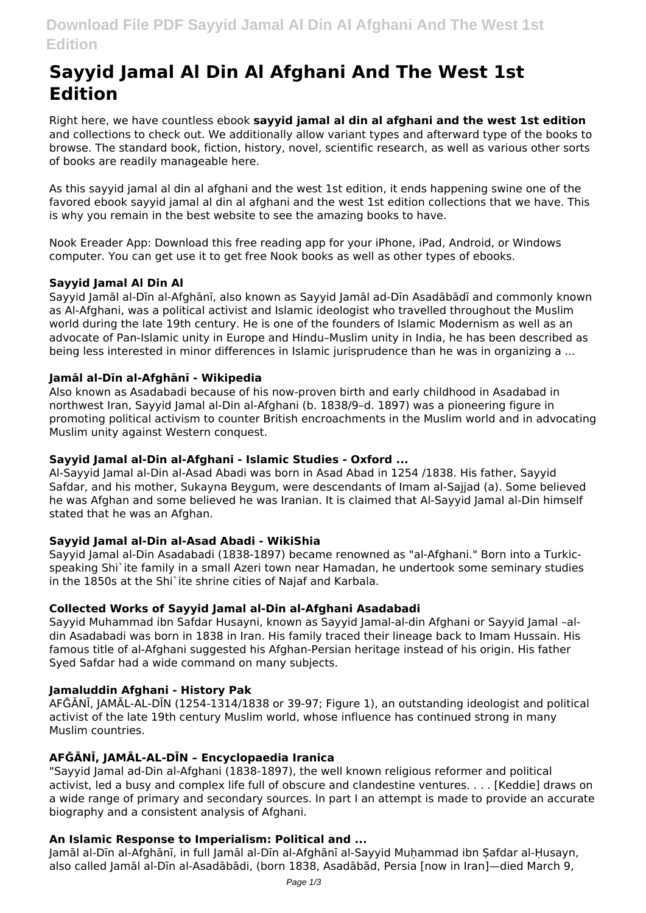# **Sayyid Jamal Al Din Al Afghani And The West 1st Edition**

Right here, we have countless ebook **sayyid jamal al din al afghani and the west 1st edition** and collections to check out. We additionally allow variant types and afterward type of the books to browse. The standard book, fiction, history, novel, scientific research, as well as various other sorts of books are readily manageable here.

As this sayyid jamal al din al afghani and the west 1st edition, it ends happening swine one of the favored ebook sayyid jamal al din al afghani and the west 1st edition collections that we have. This is why you remain in the best website to see the amazing books to have.

Nook Ereader App: Download this free reading app for your iPhone, iPad, Android, or Windows computer. You can get use it to get free Nook books as well as other types of ebooks.

### **Sayyid Jamal Al Din Al**

Sayyid Jamāl al-Dīn al-Afghānī, also known as Sayyid Jamāl ad-Dīn Asadābādī and commonly known as Al-Afghani, was a political activist and Islamic ideologist who travelled throughout the Muslim world during the late 19th century. He is one of the founders of Islamic Modernism as well as an advocate of Pan-Islamic unity in Europe and Hindu–Muslim unity in India, he has been described as being less interested in minor differences in Islamic jurisprudence than he was in organizing a ...

#### **Jamāl al-Dīn al-Afghānī - Wikipedia**

Also known as Asadabadi because of his now-proven birth and early childhood in Asadabad in northwest Iran, Sayyid Jamal al-Din al-Afghani (b. 1838/9–d. 1897) was a pioneering figure in promoting political activism to counter British encroachments in the Muslim world and in advocating Muslim unity against Western conquest.

#### **Sayyid Jamal al-Din al-Afghani - Islamic Studies - Oxford ...**

Al-Sayyid Jamal al-Din al-Asad Abadi was born in Asad Abad in 1254 /1838. His father, Sayyid Safdar, and his mother, Sukayna Beygum, were descendants of Imam al-Sajjad (a). Some believed he was Afghan and some believed he was Iranian. It is claimed that Al-Sayyid Jamal al-Din himself stated that he was an Afghan.

#### **Sayyid Jamal al-Din al-Asad Abadi - WikiShia**

Sayyid Jamal al-Din Asadabadi (1838-1897) became renowned as "al-Afghani." Born into a Turkicspeaking Shi`ite family in a small Azeri town near Hamadan, he undertook some seminary studies in the 1850s at the Shi`ite shrine cities of Najaf and Karbala.

#### **Collected Works of Sayyid Jamal al-Din al-Afghani Asadabadi**

Sayyid Muhammad ibn Safdar Husayni, known as Sayyid Jamal-al-din Afghani or Sayyid Jamal –aldin Asadabadi was born in 1838 in Iran. His family traced their lineage back to Imam Hussain. His famous title of al-Afghani suggested his Afghan-Persian heritage instead of his origin. His father Syed Safdar had a wide command on many subjects.

#### **Jamaluddin Afghani - History Pak**

AFḠĀNĪ, JAMĀL-AL-DĪN (1254-1314/1838 or 39-97; Figure 1), an outstanding ideologist and political activist of the late 19th century Muslim world, whose influence has continued strong in many Muslim countries.

#### **AFḠĀNĪ, JAMĀL-AL-DĪN – Encyclopaedia Iranica**

"Sayyid Jamal ad-Din al-Afghani (1838-1897), the well known religious reformer and political activist, led a busy and complex life full of obscure and clandestine ventures. . . . [Keddie] draws on a wide range of primary and secondary sources. In part I an attempt is made to provide an accurate biography and a consistent analysis of Afghani.

#### **An Islamic Response to Imperialism: Political and ...**

Jamāl al-Dīn al-Afghānī, in full Jamāl al-Dīn al-Afghānī al-Sayyid Muhammad ibn Safdar al-Husayn, also called Jamāl al-Dīn al-Asadābādi, (born 1838, Asadābād, Persia [now in Iran]—died March 9,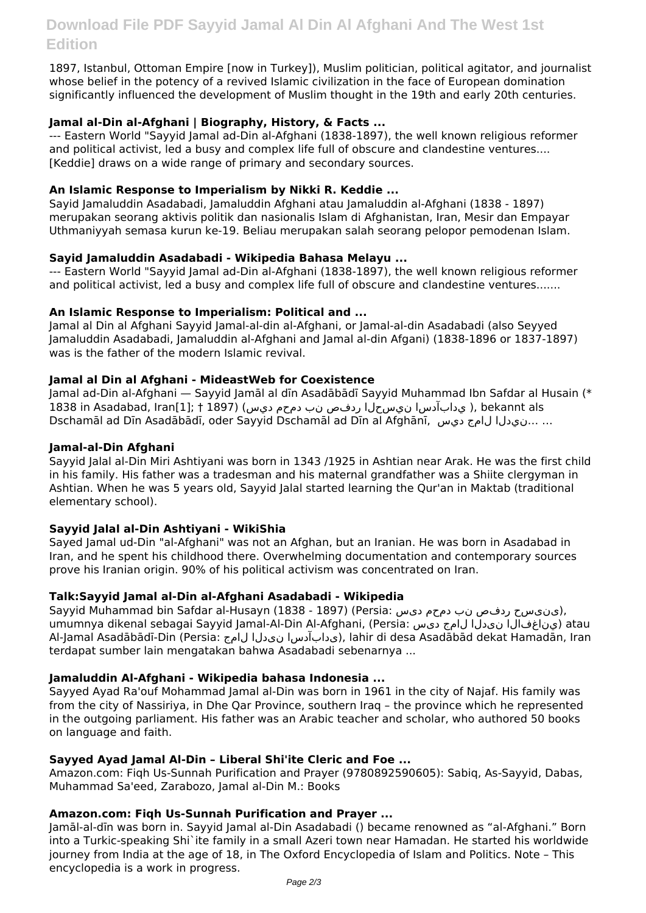1897, Istanbul, Ottoman Empire [now in Turkey]), Muslim politician, political agitator, and journalist whose belief in the potency of a revived Islamic civilization in the face of European domination significantly influenced the development of Muslim thought in the 19th and early 20th centuries.

## **Jamal al-Din al-Afghani | Biography, History, & Facts ...**

--- Eastern World "Sayyid Jamal ad-Din al-Afghani (1838-1897), the well known religious reformer and political activist, led a busy and complex life full of obscure and clandestine ventures.... [Keddie] draws on a wide range of primary and secondary sources.

#### **An Islamic Response to Imperialism by Nikki R. Keddie ...**

Sayid Jamaluddin Asadabadi, Jamaluddin Afghani atau Jamaluddin al-Afghani (1838 - 1897) merupakan seorang aktivis politik dan nasionalis Islam di Afghanistan, Iran, Mesir dan Empayar Uthmaniyyah semasa kurun ke-19. Beliau merupakan salah seorang pelopor pemodenan Islam.

#### **Sayid Jamaluddin Asadabadi - Wikipedia Bahasa Melayu ...**

--- Eastern World "Sayyid Jamal ad-Din al-Afghani (1838-1897), the well known religious reformer and political activist, led a busy and complex life full of obscure and clandestine ventures.......

### **An Islamic Response to Imperialism: Political and ...**

Jamal al Din al Afghani Sayyid Jamal-al-din al-Afghani, or Jamal-al-din Asadabadi (also Seyyed Jamaluddin Asadabadi, Jamaluddin al-Afghani and Jamal al-din Afgani) (1838-1896 or 1837-1897) was is the father of the modern Islamic revival.

### **Jamal al Din al Afghani - MideastWeb for Coexistence**

Jamal ad-Din al-Afghani — Sayyid Jamāl al dīn Asadābādī Sayyid Muhammad Ibn Safdar al Husain (\* عداد القام), bekannt als مدابآدس ان يس حل الردفص نب دمحم ديس) (1897 † 1838 in Asadabad, Iran[1]; † ; Dschamāl ad Dīn Asadābādī, oder Sayyid Dschamāl ad Dīn al Afghānī, ديس لامج نيدلا... ...

#### **Jamal-al-Din Afghani**

Sayyid Jalal al-Din Miri Ashtiyani was born in 1343 /1925 in Ashtian near Arak. He was the first child in his family. His father was a tradesman and his maternal grandfather was a Shiite clergyman in Ashtian. When he was 5 years old, Sayyid Jalal started learning the Qur'an in Maktab (traditional elementary school).

# **Sayyid Jalal al-Din Ashtiyani - WikiShia**

Sayed Jamal ud-Din "al-Afghani" was not an Afghan, but an Iranian. He was born in Asadabad in Iran, and he spent his childhood there. Overwhelming documentation and contemporary sources prove his Iranian origin. 90% of his political activism was concentrated on Iran.

#### **Talk:Sayyid Jamal al-Din al-Afghani Asadabadi - Wikipedia**

Sayyid Muhammad bin Safdar al-Husayn (1838 - 1897) (Persia: دینی سح ردفص نب دمحم دیس), umumnya dikenal sebagai Sayyid Jamal-Al-Din Al-Afghani, (Persia: يناغفال انى دل الرامج دیس) atau Al-Jamal Asadābādī-Din (Persia: لامج نیدلا یدابآدسا(, lahir di desa Asadābād dekat Hamadān, Iran terdapat sumber lain mengatakan bahwa Asadabadi sebenarnya ...

# **Jamaluddin Al-Afghani - Wikipedia bahasa Indonesia ...**

Sayyed Ayad Ra'ouf Mohammad Jamal al-Din was born in 1961 in the city of Najaf. His family was from the city of Nassiriya, in Dhe Qar Province, southern Iraq – the province which he represented in the outgoing parliament. His father was an Arabic teacher and scholar, who authored 50 books on language and faith.

#### **Sayyed Ayad Jamal Al-Din – Liberal Shi'ite Cleric and Foe ...**

Amazon.com: Fiqh Us-Sunnah Purification and Prayer (9780892590605): Sabiq, As-Sayyid, Dabas, Muhammad Sa'eed, Zarabozo, Jamal al-Din M.: Books

#### **Amazon.com: Fiqh Us-Sunnah Purification and Prayer ...**

Jamāl-al-dīn was born in. Sayyid Jamal al-Din Asadabadi () became renowned as "al-Afghani." Born into a Turkic-speaking Shi`ite family in a small Azeri town near Hamadan. He started his worldwide journey from India at the age of 18, in The Oxford Encyclopedia of Islam and Politics. Note – This encyclopedia is a work in progress.